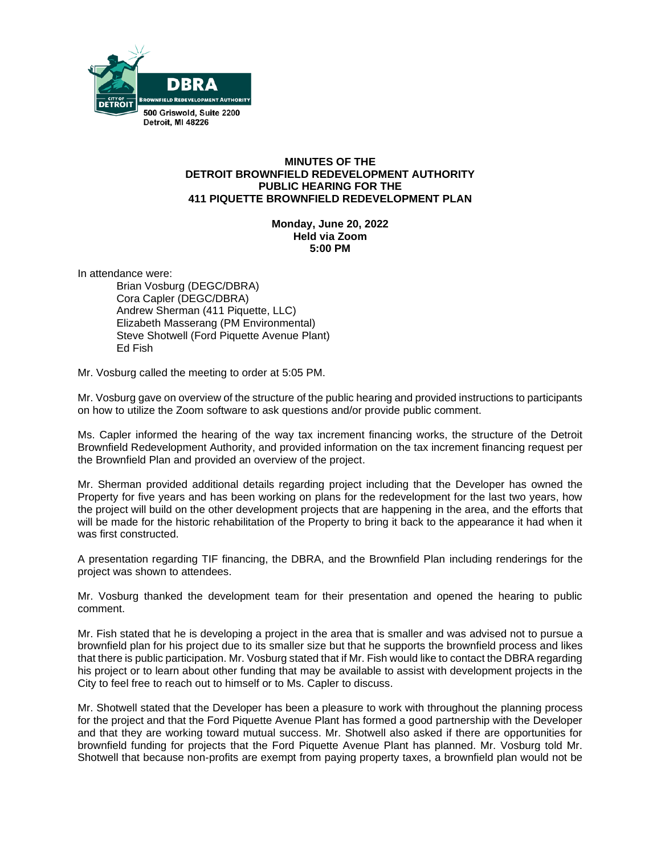

## **MINUTES OF THE DETROIT BROWNFIELD REDEVELOPMENT AUTHORITY PUBLIC HEARING FOR THE 411 PIQUETTE BROWNFIELD REDEVELOPMENT PLAN**

**Monday, June 20, 2022 Held via Zoom 5:00 PM**

In attendance were:

Brian Vosburg (DEGC/DBRA) Cora Capler (DEGC/DBRA) Andrew Sherman (411 Piquette, LLC) Elizabeth Masserang (PM Environmental) Steve Shotwell (Ford Piquette Avenue Plant) Ed Fish

Mr. Vosburg called the meeting to order at 5:05 PM.

Mr. Vosburg gave on overview of the structure of the public hearing and provided instructions to participants on how to utilize the Zoom software to ask questions and/or provide public comment.

Ms. Capler informed the hearing of the way tax increment financing works, the structure of the Detroit Brownfield Redevelopment Authority, and provided information on the tax increment financing request per the Brownfield Plan and provided an overview of the project.

Mr. Sherman provided additional details regarding project including that the Developer has owned the Property for five years and has been working on plans for the redevelopment for the last two years, how the project will build on the other development projects that are happening in the area, and the efforts that will be made for the historic rehabilitation of the Property to bring it back to the appearance it had when it was first constructed.

A presentation regarding TIF financing, the DBRA, and the Brownfield Plan including renderings for the project was shown to attendees.

Mr. Vosburg thanked the development team for their presentation and opened the hearing to public comment.

Mr. Fish stated that he is developing a project in the area that is smaller and was advised not to pursue a brownfield plan for his project due to its smaller size but that he supports the brownfield process and likes that there is public participation. Mr. Vosburg stated that if Mr. Fish would like to contact the DBRA regarding his project or to learn about other funding that may be available to assist with development projects in the City to feel free to reach out to himself or to Ms. Capler to discuss.

Mr. Shotwell stated that the Developer has been a pleasure to work with throughout the planning process for the project and that the Ford Piquette Avenue Plant has formed a good partnership with the Developer and that they are working toward mutual success. Mr. Shotwell also asked if there are opportunities for brownfield funding for projects that the Ford Piquette Avenue Plant has planned. Mr. Vosburg told Mr. Shotwell that because non-profits are exempt from paying property taxes, a brownfield plan would not be